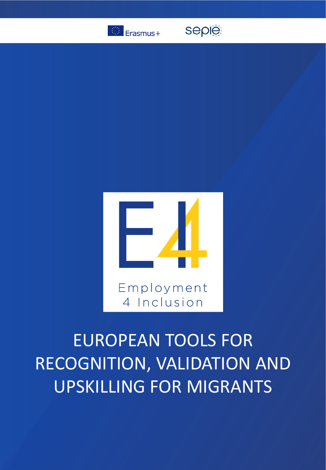

seple



# EUROPEAN TOOLS FOR RECOGNITION, VALIDATION AND UPSKILLING FOR MIGRANTS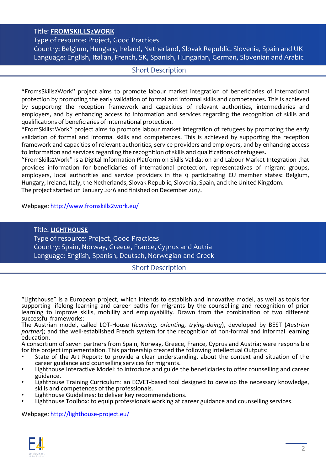#### Title: **FROMSKILLS2WORK**

Type of resource: Project, Good Practices Country: Belgium, Hungary, Ireland, Netherland, Slovak Republic, Slovenia, Spain and UK Language: English, Italian, French, SK, Spanish, Hungarian, German, Slovenian and Arabic

#### **Short Description**

"FromsSkills2Work" project aims to promote labour market integration of beneficiaries of international protection by promoting the early validation of formal and informal skills and competences. This is achieved by supporting the reception framework and capacities of relevant authorities, intermediaries and employers, and by enhancing access to information and services regarding the recognition of skills and qualifications of beneficiaries of international protection.

"FromSkills2Work" project aims to promote labour market integration of refugees by promoting the early validation of formal and informal skills and competences. This is achieved by supporting the reception framework and capacities of relevant authorities, service providers and employers, and by enhancing access to information and services regarding the recognition of skills and qualifications of refugees.

"FromSkills2Work" is a Digital Information Platform on Skills Validation and Labour Market Integration that provides information for beneficiaries of international protection, representatives of migrant groups, employers, local authorities and service providers in the 9 participating EU member states: Belgium, Hungary, Ireland, Italy, the Netherlands, Slovak Republic, Slovenia, Spain, and the United Kingdom. The project started on January 2016 and finished on December 2017.

Webpage: <http://www.fromskills2work.eu/>

#### Title: **LIGHTHOUSE**

Type of resource: Project, Good Practices Country: Spain, Norway, Greece, France, Cyprus and Autria Language: English, Spanish, Deutsch, Norwegian and Greek

## **Short Description**

"Lighthouse" is a European project, which intends to establish and innovative model, as well as tools for supporting lifelong learning and career paths for migrants by the counselling and recognition of prior learning to improve skills, mobility and employability. Drawn from the combination of two different successful frameworks:

The Austrian model, called LOT-House (*learning, orienting, trying-doing*), developed by BEST (*Austrian partner*); and the well-established French system for the recognition of non-formal and informal learning education.

A consortium of seven partners from Spain, Norway, Greece, France, Cyprus and Austria; were responsible for the project implementation. This partnership created the following Intellectual Outputs:

- State of the Art Report: to provide a clear understanding, about the context and situation of the career guidance and counselling services for migrants.
- Lighthouse Interactive Model: to introduce and guide the beneficiaries to offer counselling and career guidance.
- Lighthouse Training Curriculum: an ECVET-based tool designed to develop the necessary knowledge, skills and competences of the professionals.
- Lighthouse Guidelines: to deliver key recommendations.
- Lighthouse Toolbox: to equip professionals working at career guidance and counselling services.

Webpage: <http://lighthouse-project.eu/>